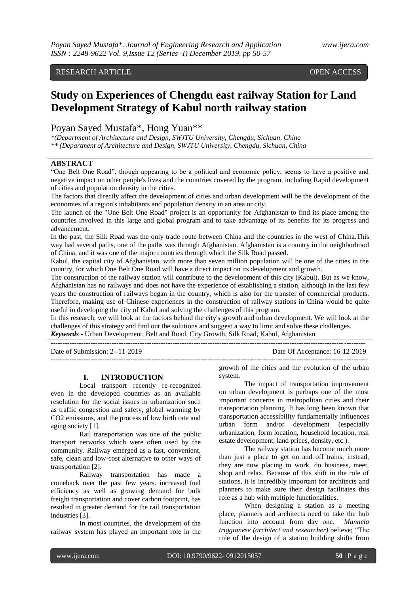## RESEARCH ARTICLE OPEN ACCESS

# **Study on Experiences of Chengdu east railway Station for Land Development Strategy of Kabul north railway station**

# Poyan Sayed Mustafa\*, Hong Yuan\*\*

*\*(Department of Architecture and Design, SWJTU University, Chengdu, Sichuan, China \*\* (Department of Architecture and Design, SWJTU University, Chengdu, Sichuan, China*

# **ABSTRACT**

"One Belt One Road", though appearing to be a political and economic policy, seems to have a positive and negative impact on other people's lives and the countries covered by the program, including Rapid development of cities and population density in the cities.

The factors that directly affect the development of cities and urban development will be the development of the economies of a region's inhabitants and population density in an area or city.

The launch of the "One Belt One Road" project is an opportunity for Afghanistan to find its place among the countries involved in this large and global program and to take advantage of its benefits for its progress and advancement.

In the past, the Silk Road was the only trade route between China and the countries in the west of China.This way had several paths, one of the paths was through Afghanistan. Afghanistan is a country in the neighborhood of China, and it was one of the major countries through which the Silk Road passed.

Kabul, the capital city of Afghanistan, with more than seven million population will be one of the cities in the country, for which One Belt One Road will have a direct impact on its development and growth.

The construction of the railway station will contribute to the development of this city (Kabul). But as we know, Afghanistan has no railways and does not have the experience of establishing a station, although in the last few years the construction of railways began in the country, which is also for the transfer of commercial products. Therefore, making use of Chinese experiences in the construction of railway stations in China would be quite useful in developing the city of Kabul and solving the challenges of this program.

In this research, we will look at the factors behind the city's growth and urban development. We will look at the challenges of this strategy and find out the solutions and suggest a way to limit and solve these challenges. *Keywords* **-** Urban Development, Belt and Road, City Growth, Silk Road, Kabul, Afghanistan

---------------------------------------------------------------------------------------------------------------------------------------

--------------------------------------------------------------------------------------------------------------------------------------

Date of Submission: 2--11-2019 Date Of Acceptance: 16-12-2019

#### **I. INTRODUCTION**

Local transport recently re-recognized even in the developed countries as an available resolution for the social issues in urbanization such as traffic congestion and safety, global warming by CO2 emissions, and the process of low birth rate and aging society [1].

Rail transportation was one of the public transport networks which were often used by the community. Railway emerged as a fast, convenient, safe, clean and low-cost alternative to other ways of transportation [2].

Railway transportation has made a comeback over the past few years. increased fuel efficiency as well as growing demand for bulk freight transportation and cover carbon footprint, has resulted in greater demand for the rail transportation industries [3].

In most countries, the development of the railway system has played an important role in the

growth of the cities and the evolution of the urban system.

The impact of transportation improvement on urban development is perhaps one of the most important concerns in metropolitan cities and their transportation planning. It has long been known that transportation accessibility fundamentally influences<br>urban form and/or development (especially form and/or development (especially urbanization, form location, household location, real estate development, land prices, density, etc.).

The railway station has become much more than just a place to get on and off trains, instead, they are now placing to work, do business, meet, shop and relax. Because of this shift in the role of stations, it is incredibly important for architects and planners to make sure their design facilitates this role as a hub with multiple functionalities.

When designing a station as a meeting place, planners and architects need to take the hub function into account from day one. *Mannela triggianese (architect and researcher)* believe; "The role of the design of a station building shifts from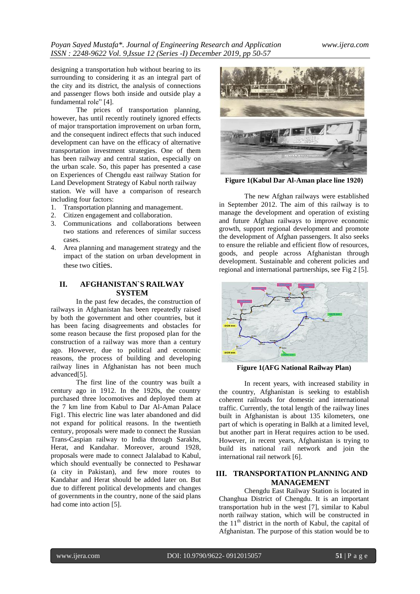designing a transportation hub without bearing to its surrounding to considering it as an integral part of the city and its district, the analysis of connections and passenger flows both inside and outside play a fundamental role" [4].

The prices of transportation planning, however, has until recently routinely ignored effects of major transportation improvement on urban form, and the consequent indirect effects that such induced development can have on the efficacy of alternative transportation investment strategies. One of them has been railway and central station, especially on the urban scale. So, this paper has presented a case on Experiences of Chengdu east railway Station for Land Development Strategy of Kabul north railway station. We will have a comparison of research including four factors:

- 1. Transportation planning and management.
- 2. Citizen engagement and collaboration.
- 3. Communications and collaborations between two stations and references of similar success cases.
- 4. Area planning and management strategy and the impact of the station on urban development in these two cities.

# **II. AFGHANISTAN`S RAILWAY SYSTEM**

In the past few decades, the construction of railways in Afghanistan has been repeatedly raised by both the government and other countries, but it has been facing disagreements and obstacles for some reason because the first proposed plan for the construction of a railway was more than a century ago. However, due to political and economic reasons, the process of building and developing railway lines in Afghanistan has not been much advanced[5].

The first line of the country was built a century ago in 1912. In the 1920s, the country purchased three locomotives and deployed them at the 7 km line from Kabul to Dar Al-Aman Palace Fig1. This electric line was later abandoned and did not expand for political reasons. In the twentieth century, proposals were made to connect the Russian Trans-Caspian railway to India through Sarakhs, Herat, and Kandahar. Moreover, around 1928, proposals were made to connect Jalalabad to Kabul, which should eventually be connected to Peshawar (a city in Pakistan), and few more routes to Kandahar and Herat should be added later on. But due to different political developments and changes of governments in the country, none of the said plans had come into action [5].



**Figure 1(Kabul Dar Al-Aman place line 1920)**

The new Afghan railways were established in September 2012. The aim of this railway is to manage the development and operation of existing and future Afghan railways to improve economic growth, support regional development and promote the development of Afghan passengers. It also seeks to ensure the reliable and efficient flow of resources, goods, and people across Afghanistan through development. Sustainable and coherent policies and regional and international partnerships, see Fig 2 [5].



**Figure 1(AFG National Railway Plan)**

In recent years, with increased stability in the country, Afghanistan is seeking to establish coherent railroads for domestic and international traffic. Currently, the total length of the railway lines built in Afghanistan is about 135 kilometers, one part of which is operating in Balkh at a limited level, but another part in Herat requires action to be used. However, in recent years, Afghanistan is trying to build its national rail network and join the international rail network [6].

### **III. TRANSPORTATION PLANNING AND MANAGEMENT**

Chengdu East Railway Station is located in Changhua District of Chengdu. It is an important transportation hub in the west [7], similar to Kabul north railway station, which will be constructed in the  $11<sup>th</sup>$  district in the north of Kabul, the capital of Afghanistan. The purpose of this station would be to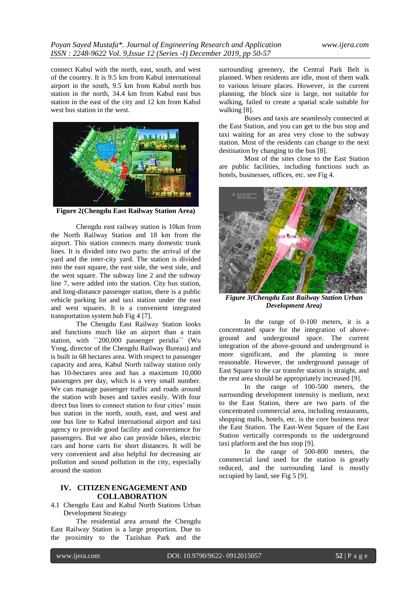connect Kabul with the north, east, south, and west of the country. It is 9.5 km from Kabul international airport in the south, 9.5 km from Kabul north bus station in the north, 34.4 km from Kabul east bus station in the east of the city and 12 km from Kabul west bus station in the west.



**Figure 2(Chengdu East Railway Station Area)**

Chengdu east railway station is 10km from the North Railway Station and 18 km from the airport. This station connects many domestic trunk lines. It is divided into two parts: the arrival of the yard and the inter-city yard. The station is divided into the east square, the east side, the west side, and the west square. The subway line 2 and the subway line 7, were added into the station. City bus station, and long-distance passenger station, there is a public vehicle parking lot and taxi station under the east and west squares. It is a convenient integrated transportation system hub Fig 4 [7].

The Chengdu East Railway Station looks and functions much like an airport than a train station, with ``200,000 passenger peridia`` (Wu Yong, director of the Chengdu Railway Bureau) and is built in 68 hectares area. With respect to passenger capacity and area, Kabul North railway station only has 10-hectares area and has a maximum 10,000 passengers per day, which is a very small number. We can manage passenger traffic and roads around the station with buses and taxies easily. With four direct bus lines to connect station to four cities' main bus station in the north, south, east, and west and one bus line to Kabul international airport and taxi agency to provide good facility and convenience for passengers. But we also can provide bikes, electric cars and horse carts for short distances. It will be very convenient and also helpful for decreasing air pollution and sound pollution in the city, especially around the station

### **IV. CITIZEN ENGAGEMENT AND COLLABORATION**

4.1 Chengdu East and Kabul North Stations Urban Development Strategy

The residential area around the Chengdu East Railway Station is a large proportion. Due to the proximity to the Tazishan Park and the

surrounding greenery, the Central Park Belt is planned. When residents are idle, most of them walk to various leisure places. However, in the current planning, the block size is large, not suitable for walking, failed to create a spatial scale suitable for walking [8].

Buses and taxis are seamlessly connected at the East Station, and you can get to the bus stop and taxi waiting for an area very close to the subway station. Most of the residents can change to the next destination by changing to the bus [8].

Most of the sites close to the East Station are public facilities, including functions such as hotels, businesses, offices, etc. see Fig 4.



*Figure 3(Chengdu East Railway Station Urban Development Area)*

In the range of 0-100 meters, it is a concentrated space for the integration of aboveground and underground space. The current integration of the above-ground and underground is more significant, and the planning is more reasonable. However, the underground passage of East Square to the car transfer station is straight, and the rest area should be appropriately increased [9].

In the range of 100-500 meters, the surrounding development intensity is medium, next to the East Station, there are two parts of the concentrated commercial area, including restaurants, shopping malls, hotels, etc. is the core business near the East Station. The East-West Square of the East Station vertically corresponds to the underground taxi platform and the bus stop [9].

In the range of 500-800 meters, the commercial land used for the station is greatly reduced, and the surrounding land is mostly occupied by land, see Fig 5 [9].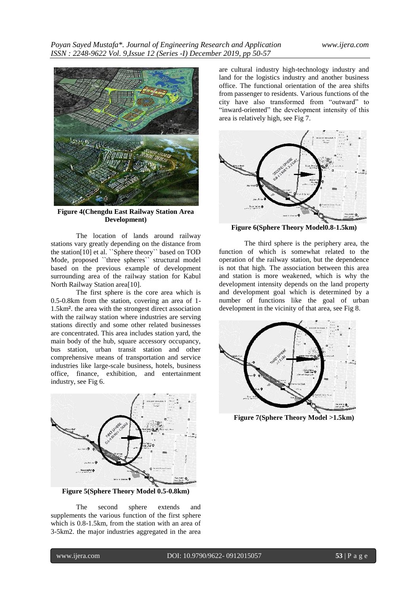

**Figure 4(Chengdu East Railway Station Area Development)**

The location of lands around railway stations vary greatly depending on the distance from the station[10] et al. ``Sphere theory`` based on TOD Mode, proposed ``three spheres`` structural model based on the previous example of development surrounding area of the railway station for Kabul North Railway Station area[10].

The first sphere is the core area which is 0.5-0.8km from the station, covering an area of 1- 1.5km². the area with the strongest direct association with the railway station where industries are serving stations directly and some other related businesses are concentrated. This area includes station yard, the main body of the hub, square accessory occupancy, bus station, urban transit station and other comprehensive means of transportation and service industries like large-scale business, hotels, business office, finance, exhibition, and entertainment industry, see Fig 6.



**Figure 5(Sphere Theory Model 0.5-0.8km)**

The second sphere extends and supplements the various function of the first sphere which is 0.8-1.5km, from the station with an area of 3-5km2. the major industries aggregated in the area

are cultural industry high-technology industry and land for the logistics industry and another business office. The functional orientation of the area shifts from passenger to residents. Various functions of the city have also transformed from "outward" to "inward-oriented" the development intensity of this area is relatively high, see Fig 7.



**Figure 6(Sphere Theory Model0.8-1.5km)**

The third sphere is the periphery area, the function of which is somewhat related to the operation of the railway station, but the dependence is not that high. The association between this area and station is more weakened, which is why the development intensity depends on the land property and development goal which is determined by a number of functions like the goal of urban development in the vicinity of that area, see Fig 8.



**Figure 7(Sphere Theory Model >1.5km)**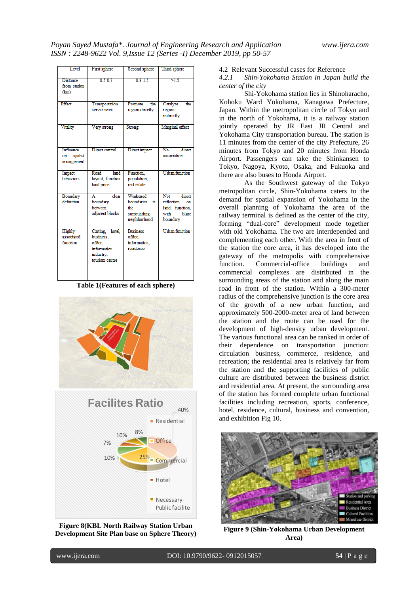| Level                                     | First sphere                                                                          | Second sphere                                                      | Third sphere                                                                     |
|-------------------------------------------|---------------------------------------------------------------------------------------|--------------------------------------------------------------------|----------------------------------------------------------------------------------|
| <b>Distance</b><br>from station<br>(km)   | $0.5 - 0.8$                                                                           | $0.8 - 1.5$                                                        | >1.5                                                                             |
| Effect                                    | Transportation<br>service area                                                        | Promote<br>the<br>region directly                                  | Catalyze<br>the<br>region<br>indirectly                                          |
| Vitality                                  | Very strong                                                                           | Strong                                                             | Marginal effect                                                                  |
| Influence<br>spatial<br>on<br>arrangement | Direct control                                                                        | Direct impact                                                      | $\overline{No}$<br>direct<br>association                                         |
| Impact<br>behaviors                       | Road<br>land<br>layout, function<br>land price                                        | Function.<br>population.<br>real estate                            | <b>Urban</b> function                                                            |
| Boundary<br>definition                    | clear<br>A<br>boundary<br>between<br>adjacent blocks                                  | Weakened<br>boundaries<br>'n<br>the<br>surrounding<br>neighborhood | Not<br>direct<br>reflection<br>on<br>land function.<br>with<br>blare<br>boundary |
| Highly<br>associated<br>function          | Carting, hotel,<br>business.<br>office.<br>information<br>industry.<br>tourism centre | <b>Business</b><br>office.<br>information.<br>residence            | <b>Urban</b> function                                                            |

**Table 1(Features of each sphere)**



**Figure 8(KBL North Railway Station Urban Development Site Plan base on Sphere Theory)** 4.2 Relevant Successful cases for Reference

*4.2.1 Shin-Yokohama Station in Japan build the center of the city* 

Shi-Yokohama station lies in Shinoharacho, Kohoku Ward Yokohama, Kanagawa Prefecture, Japan. Within the metropolitan circle of Tokyo and in the north of Yokohama, it is a railway station jointly operated by JR East JR Central and Yokohama City transportation bureau. The station is 11 minutes from the center of the city Prefecture, 26 minutes from Tokyo and 20 minutes from Honda Airport. Passengers can take the Shinkansen to Tokyo, Nagoya, Kyoto, Osaka, and Fukuoka and there are also buses to Honda Airport.

As the Southwest gateway of the Tokyo metropolitan circle, Shin-Yokohama caters to the demand for spatial expansion of Yokohama in the overall planning of Yokohama the area of the railway terminal is defined as the center of the city, forming "dual-core" development mode together with old Yokohama. The two are interdepended and complementing each other. With the area in front of the station the core area, it has developed into the gateway of the metropolis with comprehensive function. Commercial-office buildings and commercial complexes are distributed in the surrounding areas of the station and along the main road in front of the station. Within a 300-meter radius of the comprehensive junction is the core area of the growth of a new urban function, and approximately 500-2000-meter area of land between the station and the route can be used for the development of high-density urban development. The various functional area can be ranked in order of their dependence on transportation junction: circulation business, commerce, residence, and recreation; the residential area is relatively far from the station and the supporting facilities of public culture are distributed between the business district and residential area. At present, the surrounding area of the station has formed complete urban functional facilities including recreation, sports, conference, hotel, residence, cultural, business and convention, and exhibition Fig 10.



**Figure 9 (Shin-Yokohama Urban Development Area)**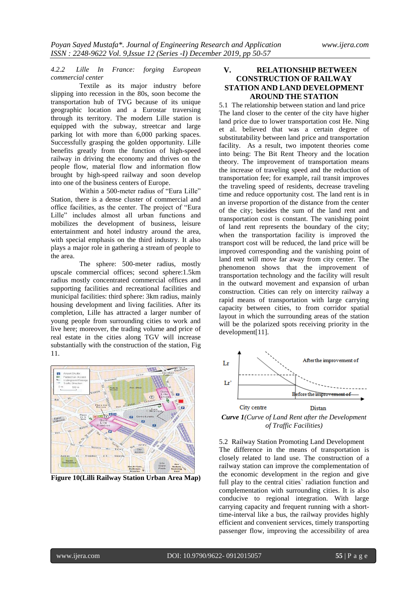#### *4.2.2 Lille In France: forging European commercial center*

Textile as its major industry before slipping into recession in the 80s, soon become the transportation hub of TVG because of its unique geographic location and a Eurostar traversing through its territory. The modern Lille station is equipped with the subway, streetcar and large parking lot with more than 6,000 parking spaces. Successfully grasping the golden opportunity. Lille benefits greatly from the function of high-speed railway in driving the economy and thrives on the people flow, material flow and information flow brought by high-speed railway and soon develop into one of the business centers of Europe.

Within a 500-meter radius of "Eura Lille" Station, there is a dense cluster of commercial and office facilities, as the center. The project of "Eura Lille" includes almost all urban functions and mobilizes the development of business, leisure entertainment and hotel industry around the area, with special emphasis on the third industry. It also plays a major role in gathering a stream of people to the area.

The sphere: 500-meter radius, mostly upscale commercial offices; second sphere:1.5km radius mostly concentrated commercial offices and supporting facilities and recreational facilities and municipal facilities: third sphere: 3km radius, mainly housing development and living facilities. After its completion, Lille has attracted a larger number of young people from surrounding cities to work and live here; moreover, the trading volume and price of real estate in the cities along TGV will increase substantially with the construction of the station, Fig 11.



**Figure 10(Lilli Railway Station Urban Area Map)**

# **V. RELATIONSHIP BETWEEN CONSTRUCTION OF RAILWAY STATION AND LAND DEVELOPMENT AROUND THE STATION**

5.1 The relationship between station and land price The land closer to the center of the city have higher land price due to lower transportation cost He. Ning et al. believed that was a certain degree of substitutability between land price and transportation facility. As a result, two impotent theories come into being: The Bit Rent Theory and the location theory. The improvement of transportation means the increase of traveling speed and the reduction of transportation fee; for example, rail transit improves the traveling speed of residents, decrease traveling time and reduce opportunity cost. The land rent is in an inverse proportion of the distance from the center of the city; besides the sum of the land rent and transportation cost is constant. The vanishing point of land rent represents the boundary of the city; when the transportation facility is improved the transport cost will be reduced, the land price will be improved corresponding and the vanishing point of land rent will move far away from city center. The phenomenon shows that the improvement of transportation technology and the facility will result in the outward movement and expansion of urban construction. Cities can rely on intercity railway a rapid means of transportation with large carrying capacity between cities, to from corridor spatial layout in which the surrounding areas of the station will be the polarized spots receiving priority in the development[11].



*Curve 1(Curve of Land Rent after the Development of Traffic Facilities)*

5.2 Railway Station Promoting Land Development The difference in the means of transportation is closely related to land use. The construction of a railway station can improve the complementation of the economic development in the region and give full play to the central cities` radiation function and complementation with surrounding cities. It is also conducive to regional integration. With large carrying capacity and frequent running with a shorttime-interval like a bus, the railway provides highly efficient and convenient services, timely transporting passenger flow, improving the accessibility of area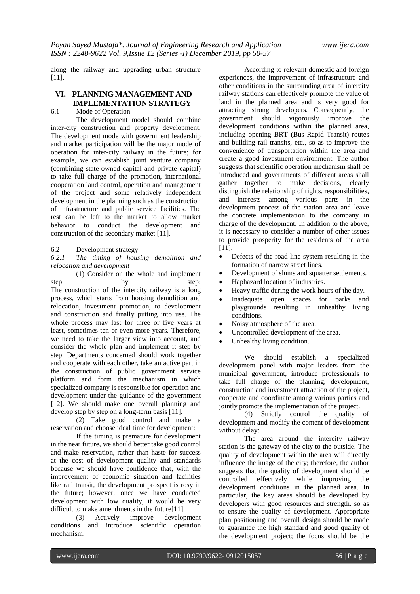along the railway and upgrading urban structure [11].

# **VI. PLANNING MANAGEMENT AND IMPLEMENTATION STRATEGY**

6.1 Mode of Operation

The development model should combine inter-city construction and property development. The development mode with government leadership and market participation will be the major mode of operation for inter-city railway in the future; for example, we can establish joint venture company (combining state-owned capital and private capital) to take full charge of the promotion, international cooperation land control, operation and management of the project and some relatively independent development in the planning such as the construction of infrastructure and public service facilities. The rest can be left to the market to allow market behavior to conduct the development and construction of the secondary market [11].

#### 6.2 Development strategy

*6.2.1 The timing of housing demolition and relocation and development*

(1) Consider on the whole and implement step by step: The construction of the intercity railway is a long process, which starts from housing demolition and relocation, investment promotion, to development and construction and finally putting into use. The whole process may last for three or five years at least, sometimes ten or even more years. Therefore, we need to take the larger view into account, and consider the whole plan and implement it step by step. Departments concerned should work together and cooperate with each other, take an active part in the construction of public government service platform and form the mechanism in which specialized company is responsible for operation and development under the guidance of the government [12]. We should make one overall planning and develop step by step on a long-term basis [11].

(2) Take good control and make a reservation and choose ideal time for development:

If the timing is premature for development in the near future, we should better take good control and make reservation, rather than haste for success at the cost of development quality and standards because we should have confidence that, with the improvement of economic situation and facilities like rail transit, the development prospect is rosy in the future; however, once we have conducted development with low quality, it would be very difficult to make amendments in the future[11].

(3) Actively improve development conditions and introduce scientific operation mechanism:

According to relevant domestic and foreign experiences, the improvement of infrastructure and other conditions in the surrounding area of intercity railway stations can effectively promote the value of land in the planned area and is very good for attracting strong developers. Consequently, the government should vigorously improve the development conditions within the planned area, including opening BRT (Bus Rapid Transit) routes and building rail transits, etc., so as to improve the convenience of transportation within the area and create a good investment environment. The author suggests that scientific operation mechanism shall be introduced and governments of different areas shall gather together to make decisions, clearly distinguish the relationship of rights, responsibilities, and interests among various parts in the development process of the station area and leave the concrete implementation to the company in charge of the development. In addition to the above, it is necessary to consider a number of other issues to provide prosperity for the residents of the area [11].

- Defects of the road line system resulting in the formation of narrow street lines.
- Development of slums and squatter settlements.
- Haphazard location of industries.
- Heavy traffic during the work hours of the day.
- Inadequate open spaces for parks and playgrounds resulting in unhealthy living conditions.
- Noisy atmosphere of the area.
- Uncontrolled development of the area.
	- Unhealthy living condition.

We should establish a specialized development panel with major leaders from the municipal government, introduce professionals to take full charge of the planning, development, construction and investment attraction of the project, cooperate and coordinate among various parties and jointly promote the implementation of the project.

(4) Strictly control the quality of development and modify the content of development without delay:

The area around the intercity railway station is the gateway of the city to the outside. The quality of development within the area will directly influence the image of the city; therefore, the author suggests that the quality of development should be controlled effectively while improving the development conditions in the planned area. In particular, the key areas should be developed by developers with good resources and strength, so as to ensure the quality of development. Appropriate plan positioning and overall design should be made to guarantee the high standard and good quality of the development project; the focus should be the